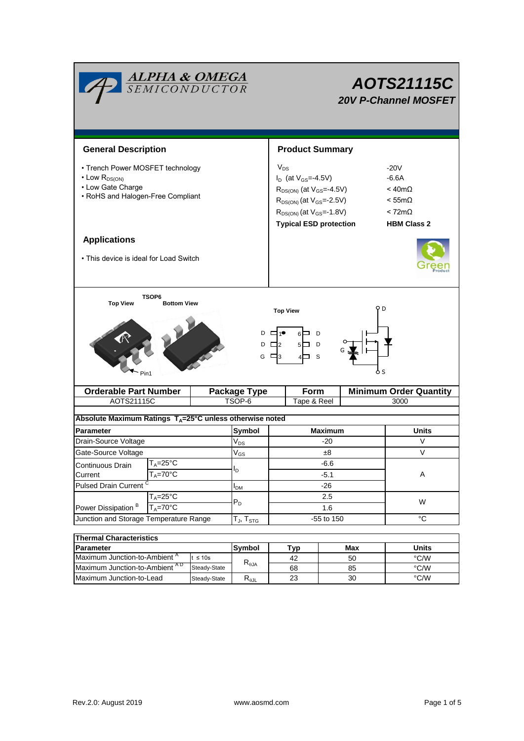| <b>ALPHA &amp; OMEGA</b><br>SEMICONDUCTOR                                                                                                                                              |                                       |                                         |                               |                                                                                                                                                                                                | AOTS21115C<br><b>20V P-Channel MOSFET</b> |     |                                                                                                               |  |  |  |
|----------------------------------------------------------------------------------------------------------------------------------------------------------------------------------------|---------------------------------------|-----------------------------------------|-------------------------------|------------------------------------------------------------------------------------------------------------------------------------------------------------------------------------------------|-------------------------------------------|-----|---------------------------------------------------------------------------------------------------------------|--|--|--|
| <b>General Description</b>                                                                                                                                                             |                                       |                                         |                               | <b>Product Summary</b>                                                                                                                                                                         |                                           |     |                                                                                                               |  |  |  |
| • Trench Power MOSFET technology<br>$\cdot$ Low $R_{DS(ON)}$<br>• Low Gate Charge<br>• RoHS and Halogen-Free Compliant                                                                 |                                       |                                         |                               | $V_{DS}$<br>$I_D$ (at $V_{GS} = -4.5V$ )<br>$R_{DS(ON)}$ (at $V_{GS} = -4.5V$ )<br>$R_{DS(ON)}$ (at $V_{GS} = -2.5V$ )<br>$R_{DS(ON)}$ (at $V_{GS} = -1.8V$ )<br><b>Typical ESD protection</b> |                                           |     | $-20V$<br>$-6.6A$<br>$<$ 40m $\Omega$<br>$< 55 \text{m}\Omega$<br>$< 72 \text{m}\Omega$<br><b>HBM Class 2</b> |  |  |  |
| <b>Applications</b><br>• This device is ideal for Load Switch                                                                                                                          |                                       |                                         |                               |                                                                                                                                                                                                |                                           |     |                                                                                                               |  |  |  |
| <b>TSOP6</b><br><b>Top View</b><br><b>Bottom View</b><br>9 D<br><b>Top View</b><br>$D \Box 1^{\bullet}$<br>$6\Box$ D<br>$D \Box 2$<br>$5\Box$<br>D<br>G $\Box$ 3<br>- S<br>6 S<br>Pin1 |                                       |                                         |                               |                                                                                                                                                                                                |                                           |     |                                                                                                               |  |  |  |
| AOTS21115C                                                                                                                                                                             | <b>Orderable Part Number</b>          |                                         | <b>Package Type</b><br>TSOP-6 | Form<br>Tape & Reel                                                                                                                                                                            |                                           |     | <b>Minimum Order Quantity</b><br>3000                                                                         |  |  |  |
| Absolute Maximum Ratings $T_A = 25^\circ \text{C}$ unless otherwise noted                                                                                                              |                                       |                                         |                               |                                                                                                                                                                                                |                                           |     |                                                                                                               |  |  |  |
| <b>Parameter</b>                                                                                                                                                                       |                                       |                                         | Symbol                        |                                                                                                                                                                                                | <b>Maximum</b>                            |     | Units                                                                                                         |  |  |  |
| Drain-Source Voltage                                                                                                                                                                   |                                       |                                         | $V_{DS}$                      | -20                                                                                                                                                                                            |                                           |     | V                                                                                                             |  |  |  |
| Gate-Source Voltage                                                                                                                                                                    |                                       | $\ensuremath{\mathsf{V}}_{\mathsf{GS}}$ | ±8                            |                                                                                                                                                                                                |                                           | V   |                                                                                                               |  |  |  |
| T <sub>A</sub> =25°C<br>Continuous Drain                                                                                                                                               |                                       |                                         | $-6.6$                        |                                                                                                                                                                                                |                                           |     |                                                                                                               |  |  |  |
| Current                                                                                                                                                                                | $T_A = 70$ °C                         |                                         | I <sub>D</sub>                |                                                                                                                                                                                                | $-5.1$                                    |     | Α                                                                                                             |  |  |  |
| <b>Pulsed Drain Current</b>                                                                                                                                                            |                                       | $I_{DM}$                                | $-26$                         |                                                                                                                                                                                                |                                           |     |                                                                                                               |  |  |  |
| Power Dissipation <sup>B</sup>                                                                                                                                                         | $T_A = 25^{\circ}$ C<br>$T_A = 70$ °C |                                         | $P_D$                         | 2.5<br>1.6                                                                                                                                                                                     |                                           | W   |                                                                                                               |  |  |  |
| Junction and Storage Temperature Range                                                                                                                                                 |                                       | $T_J$ , $T_{STG}$                       | -55 to 150                    |                                                                                                                                                                                                | $^{\circ}C$                               |     |                                                                                                               |  |  |  |
| <b>Thermal Characteristics</b>                                                                                                                                                         |                                       |                                         |                               |                                                                                                                                                                                                |                                           |     |                                                                                                               |  |  |  |
| Parameter                                                                                                                                                                              |                                       |                                         | Symbol                        |                                                                                                                                                                                                | Tvn                                       | Max | <b>Units</b>                                                                                                  |  |  |  |

| THEIMAL GHALACLEI ISUCS                   |                      |                                  |     |       |      |  |  |  |
|-------------------------------------------|----------------------|----------------------------------|-----|-------|------|--|--|--|
| <b>Parameter</b>                          | <b>Symbol</b><br>Tvo |                                  | Max | Units |      |  |  |  |
| Maximum Junction-to-Ambient <sup>"</sup>  | ≤ 10s                | $R_{0,IA}$                       | 42  | 50    | °C/W |  |  |  |
| Maximum Junction-to-Ambient <sup>AD</sup> | Steady-State         |                                  | 68  | 85    | °C/W |  |  |  |
| Maximum Junction-to-Lead                  | Steady-State         | $\mathsf{R}_{\theta\mathsf{JL}}$ | 23  | 30    | °C/W |  |  |  |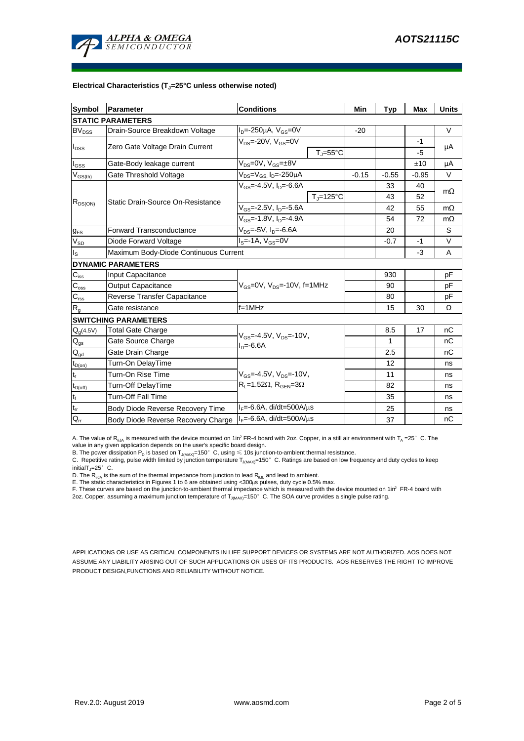

#### **Electrical Characteristics (TJ=25°C unless otherwise noted)**

| <b>Symbol</b>               | Parameter                             | <b>Conditions</b>                                                                    | Min                          | <b>Typ</b> | <b>Max</b>   | <b>Units</b> |           |  |  |
|-----------------------------|---------------------------------------|--------------------------------------------------------------------------------------|------------------------------|------------|--------------|--------------|-----------|--|--|
| <b>STATIC PARAMETERS</b>    |                                       |                                                                                      |                              |            |              |              |           |  |  |
| $BV_{DSS}$                  | Drain-Source Breakdown Voltage        | $I_D = -250 \mu A$ , $V_{GS} = 0V$                                                   |                              | $-20$      |              |              | V         |  |  |
| $I_{DSS}$                   | Zero Gate Voltage Drain Current       | $V_{DS}$ =-20V, $V_{GS}$ =0V                                                         |                              |            |              | $-1$         | μA        |  |  |
|                             |                                       |                                                                                      | $T_{\text{J}} = 55^{\circ}C$ |            |              | $-5$         |           |  |  |
| $\mathsf{I}_{\mathsf{GSS}}$ | Gate-Body leakage current             | $V_{DS} = 0V$ , $V_{GS} = \pm 8V$                                                    |                              |            |              | ±10          | μA        |  |  |
| $V_{GS(th)}$                | Gate Threshold Voltage                | V <sub>DS</sub> =V <sub>GS.</sub> I <sub>D</sub> =-250µA                             |                              | $-0.15$    | $-0.55$      | $-0.95$      | V         |  |  |
| $R_{DS(ON)}$                | Static Drain-Source On-Resistance     | $V_{GS} = -4.5V$ , $I_{D} = -6.6A$                                                   |                              |            | 33           | 40           | $m\Omega$ |  |  |
|                             |                                       |                                                                                      | $T_J = 125$ °C               |            | 43           | 52           |           |  |  |
|                             |                                       | $V_{GS}$ =-2.5V, $I_{D}$ =-5.6A                                                      |                              | 42         | 55           | $m\Omega$    |           |  |  |
|                             |                                       | $V_{GS}$ =-1.8V, $I_{D}$ =-4.9A                                                      |                              | 54         | 72           | $m\Omega$    |           |  |  |
| $g_{FS}$                    | Forward Transconductance              | $V_{DS} = -5V$ , $I_D = -6.6A$                                                       |                              | 20         |              | S            |           |  |  |
| $V_{SD}$                    | Diode Forward Voltage                 | $IS=-1A, VGS=0V$                                                                     |                              | $-0.7$     | $-1$         | V            |           |  |  |
| ls                          | Maximum Body-Diode Continuous Current |                                                                                      |                              |            | $-3$         | Α            |           |  |  |
|                             | <b>DYNAMIC PARAMETERS</b>             |                                                                                      |                              |            |              |              |           |  |  |
| $C_{\text{iss}}$            | Input Capacitance                     |                                                                                      |                              |            | 930          |              | рF        |  |  |
| $C_{\rm oss}$               | Output Capacitance                    | $V_{GS}$ =0V, $V_{DS}$ =-10V, f=1MHz                                                 |                              |            | 90           |              | рF        |  |  |
| $C_{\rm rss}$               | Reverse Transfer Capacitance          |                                                                                      |                              | 80         |              | рF           |           |  |  |
| $R_{g}$                     | Gate resistance                       | $f = 1$ MHz                                                                          |                              |            | 15           | 30           | Ω         |  |  |
|                             | <b>SWITCHING PARAMETERS</b>           |                                                                                      |                              |            |              |              |           |  |  |
| $Q_g(4.5V)$                 | <b>Total Gate Charge</b>              | $V_{GS} = -4.5V$ , $V_{DS} = -10V$ ,<br>$I_n = -6.6A$                                |                              |            | 8.5          | 17           | nC        |  |  |
| $Q_{gs}$                    | Gate Source Charge                    |                                                                                      |                              |            | $\mathbf{1}$ |              | nC        |  |  |
| $Q_{gd}$                    | Gate Drain Charge                     |                                                                                      |                              |            | 2.5          |              | nC        |  |  |
| $t_{D(on)}$                 | Turn-On DelayTime                     |                                                                                      |                              |            | 12           |              | ns        |  |  |
| t,                          | Turn-On Rise Time                     | $V_{GS} = -4.5V$ , $V_{DS} = -10V$ ,<br>$R_L$ =1.52 $\Omega$ , $R_{GEN}$ =3 $\Omega$ |                              |            | 11           |              | ns        |  |  |
| $t_{D(off)}$                | Turn-Off DelayTime                    |                                                                                      |                              |            | 82           |              | ns        |  |  |
| $t_f$                       | <b>Turn-Off Fall Time</b>             |                                                                                      |                              |            | 35           |              | ns        |  |  |
| $\mathfrak{t}_{\text{rr}}$  | Body Diode Reverse Recovery Time      | $I_F = -6.6A$ , di/dt=500A/ $\mu$ s                                                  |                              |            | 25           |              | ns        |  |  |
| $Q_{rr}$                    | Body Diode Reverse Recovery Charge    | $I_F = -6.6A$ , di/dt=500A/us                                                        |                              |            | 37           |              | nC        |  |  |

A. The value of  $R_{\theta JA}$  is measured with the device mounted on 1in<sup>2</sup> FR-4 board with 2oz. Copper, in a still air environment with T<sub>A</sub> =25° C. The value in any given application depends on the user's specific board design.

B. The power dissipation  ${\sf P}_{\sf D}$  is based on  ${\sf T}_{\sf J(MAX)}$ =150 $^\circ\,$  C, using  $\leqslant$  10s junction-to-ambient thermal resistance.

C. Repetitive rating, pulse width limited by junction temperature T $_{\rm J(MAX)}$ =150°C. Ratings are based on low frequency and duty cycles to keep

initialT $j=25^\circ$  C.

D. The R<sub>eJA</sub> is the sum of the thermal impedance from junction to lead R<sub>eJL</sub> and lead to ambient.<br>E. The static characteristics in Figures 1 to 6 are obtained using <300µs pulses, duty cycle 0.5% max.<br>F. These curves are

APPLICATIONS OR USE AS CRITICAL COMPONENTS IN LIFE SUPPORT DEVICES OR SYSTEMS ARE NOT AUTHORIZED. AOS DOES NOT ASSUME ANY LIABILITY ARISING OUT OF SUCH APPLICATIONS OR USES OF ITS PRODUCTS. AOS RESERVES THE RIGHT TO IMPROVE PRODUCT DESIGN,FUNCTIONS AND RELIABILITY WITHOUT NOTICE.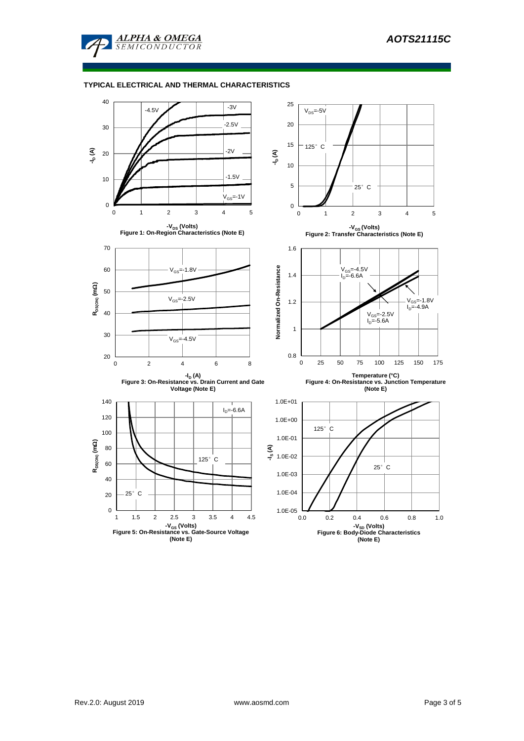

## **TYPICAL ELECTRICAL AND THERMAL CHARACTERISTICS**

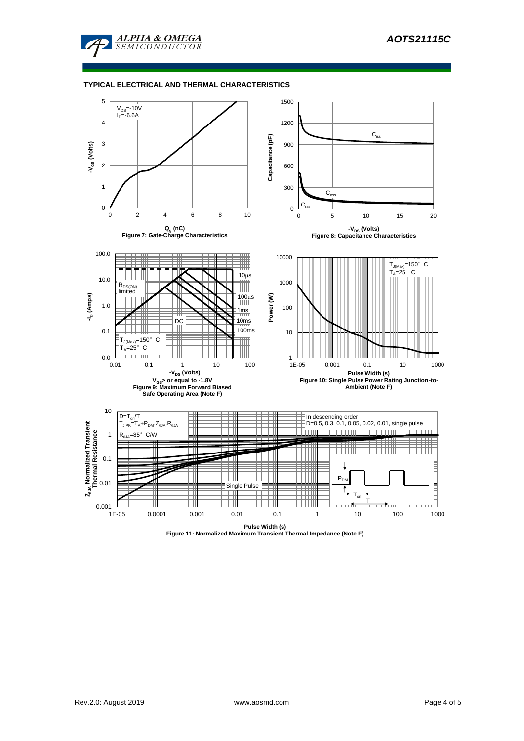

### **TYPICAL ELECTRICAL AND THERMAL CHARACTERISTICS**